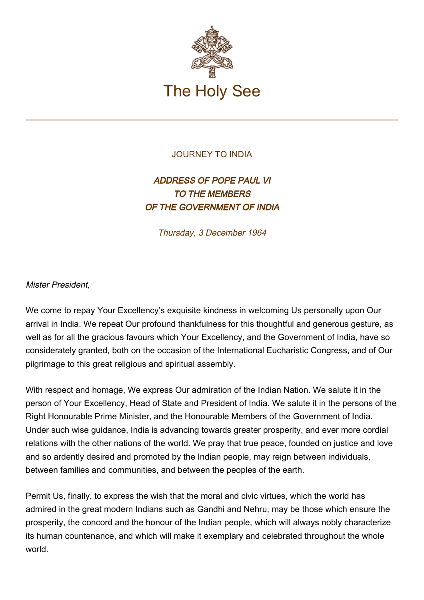

## JOURNEY TO INDIA

## ADDRESS OF POPE PAUL VI TO THE MEMBERS OF THE GOVERNMENT OF INDIA

Thursday, 3 December 1964

## Mister President,

We come to repay Your Excellency's exquisite kindness in welcoming Us personally upon Our arrival in India. We repeat Our profound thankfulness for this thoughtful and generous gesture, as well as for all the gracious favours which Your Excellency, and the Government of India, have so considerately granted, both on the occasion of the International Eucharistic Congress, and of Our pilgrimage to this great religious and spiritual assembly.

With respect and homage, We express Our admiration of the Indian Nation. We salute it in the person of Your Excellency, Head of State and President of India. We salute it in the persons of the Right Honourable Prime Minister, and the Honourable Members of the Government of India. Under such wise guidance, India is advancing towards greater prosperity, and ever more cordial relations with the other nations of the world. We pray that true peace, founded on justice and love and so ardently desired and promoted by the Indian people, may reign between individuals, between families and communities, and between the peoples of the earth.

Permit Us, finally, to express the wish that the moral and civic virtues, which the world has admired in the great modern Indians such as Gandhi and Nehru, may be those which ensure the prosperity, the concord and the honour of the Indian people, which will always nobly characterize its human countenance, and which will make it exemplary and celebrated throughout the whole world.